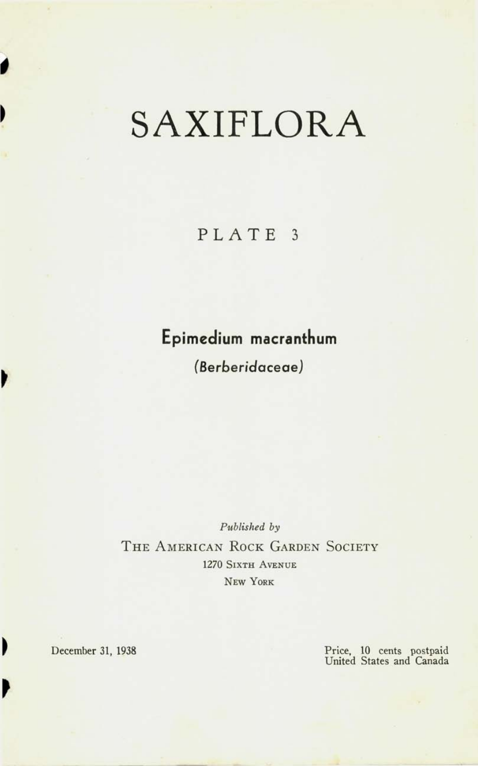## SAXIFLORA

**PLAT E 3** 

## **Epimedium macranthum**

**(Berben'daceaeJ** 

*Published by*  THE AMERICAN ROCK GARDEN SOCIETY 1270 SIXTH AVENUE NEW YORK

Þ

 $\overline{\phantom{a}}$ 

Þ

December 31, 1938 Price, 10 cents postpaid United States and Canada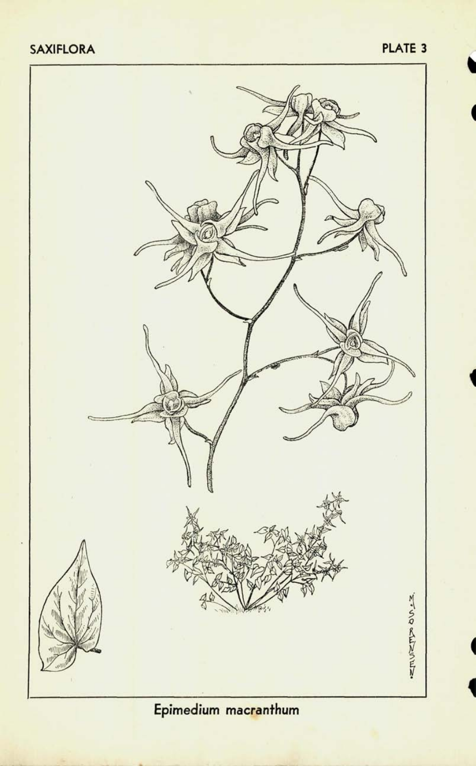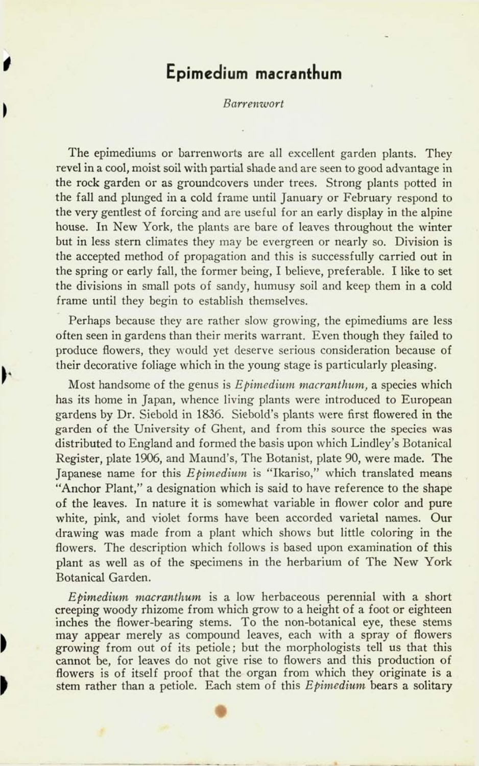## **Epimedium macranthum**

## *Barrenwort*

The epimediums or barrenworts are all excellent garden plants. They revel in a cool, moist soil with partial shade and are seen to good advantage in the rock garden or as groundcovers under trees. Strong plants potted in the fall and plunged in a cold frame until January or February respond to the very gentlest of forcing and are useful for an early display in the alpine house. In New York, the plants are bare of leaves throughout the winter but in less stern climates they may be evergreen or nearly so. Division is the accepted method of propagation and this is successfully carried out in the spring or early fall, the former being, I believe, preferable. I like to set the divisions in small pots of sandy, humusy soil and keep them in a cold frame until they begin to establish themselves.

Perhaps because they are rather slow growing, the epimediums are less often seen in gardens than their merits warrant. Even though they failed to produce flowers, they would yet deserve serious consideration because of their decorative foliage which in the young stage is particularly pleasing.

Most handsome of the genus is *Epimedium macranthum,* a species which has its home in Japan, whence living plants were introduced to European gardens by Dr. Siebold in 1836. Siebold's plants were first flowered in the garden of the University of Ghent, and from this source the species was distributed to England and formed the basis upon which Lindley's Botanical Register, plate 1906, and Maund's, The Botanist, plate 90, were made. The Japanese name for this *Epimedium* is "Ikariso," which translated means "Anchor Plant," a designation which is said to have reference to the shape of the leaves. In nature it is somewhat variable in flower color and pure white, pink, and violet forms have been accorded varietal names. Our drawing was made from a plant which shows but little coloring in the flowers. The description which follows is based upon examination of this plant as well as of the specimens in the herbarium of The New York Botanical Garden.

*Epimedium macranthum* is a low herbaceous perennial with a short creeping woody rhizome from which grow to a height of a foot or eighteen inches the flower-bearing stems. To the non-botanical eye, these stems may appear merely as compound leaves, each with a spray of flowers growing from out of its petiole; but the morphologists tell us that this cannot be, for leaves do not give rise to flowers and this production of flowers is of itself proof that the organ from which they originate is a stem rather than a petiole. Each stem of this *Epimedium* bears a solitary